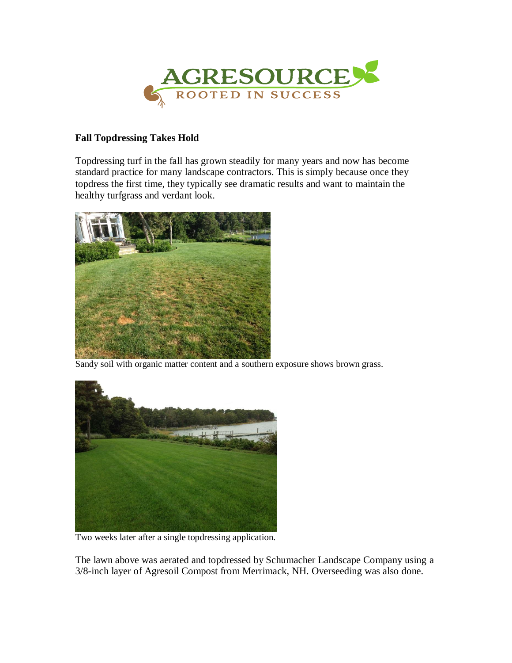

## **Fall Topdressing Takes Hold**

Topdressing turf in the fall has grown steadily for many years and now has become standard practice for many landscape contractors. This is simply because once they topdress the first time, they typically see dramatic results and want to maintain the healthy turfgrass and verdant look.



Sandy soil with organic matter content and a southern exposure shows brown grass.



Two weeks later after a single topdressing application.

The lawn above was aerated and topdressed by Schumacher Landscape Company using a 3/8-inch layer of Agresoil Compost from Merrimack, NH. Overseeding was also done.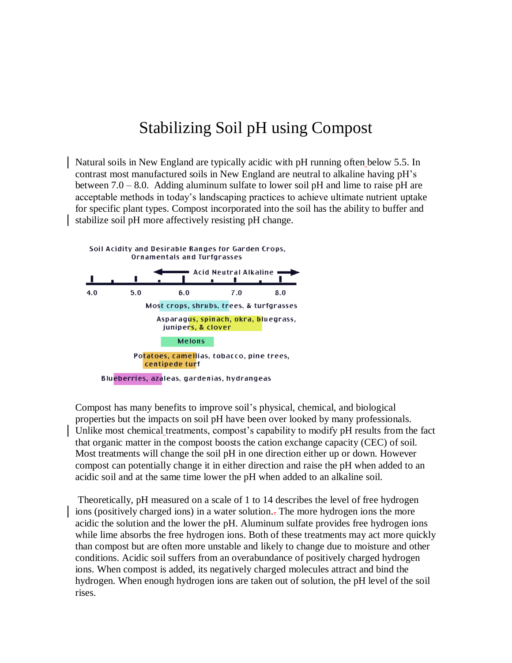## Stabilizing Soil pH using Compost

Natural soils in New England are typically acidic with pH running often below 5.5. In contrast most manufactured soils in New England are neutral to alkaline having pH's between 7.0 – 8.0. Adding aluminum sulfate to lower soil pH and lime to raise pH are acceptable methods in today's landscaping practices to achieve ultimate nutrient uptake for specific plant types. Compost incorporated into the soil has the ability to buffer and stabilize soil pH more affectively resisting pH change.



Compost has many benefits to improve soil's physical, chemical, and biological properties but the impacts on soil pH have been over looked by many professionals. Unlike most chemical treatments, compost's capability to modify pH results from the fact that organic matter in the compost boosts the cation exchange capacity (CEC) of soil. Most treatments will change the soil pH in one direction either up or down. However compost can potentially change it in either direction and raise the pH when added to an acidic soil and at the same time lower the pH when added to an alkaline soil.

Theoretically, pH measured on a scale of 1 to 14 describes the level of free hydrogen ions (positively charged ions) in a water solution.. The more hydrogen ions the more acidic the solution and the lower the pH. Aluminum sulfate provides free hydrogen ions while lime absorbs the free hydrogen ions. Both of these treatments may act more quickly than compost but are often more unstable and likely to change due to moisture and other conditions. Acidic soil suffers from an overabundance of positively charged hydrogen ions. When compost is added, its negatively charged molecules attract and bind the hydrogen. When enough hydrogen ions are taken out of solution, the pH level of the soil rises.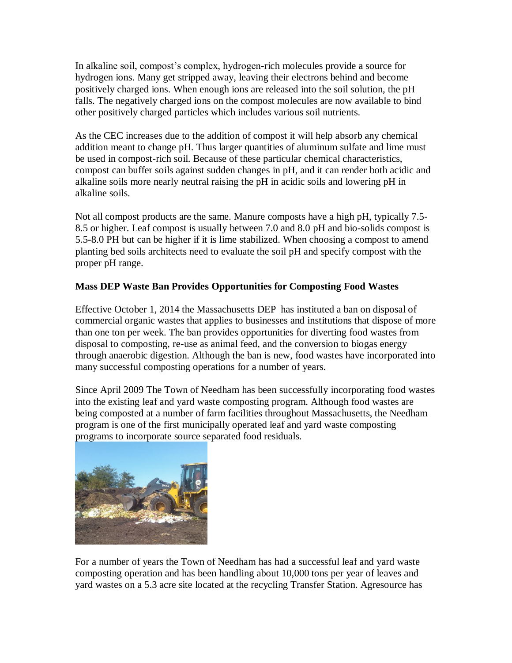In alkaline soil, compost's complex, hydrogen-rich molecules provide a source for hydrogen ions. Many get stripped away, leaving their electrons behind and become positively charged ions. When enough ions are released into the soil solution, the pH falls. The negatively charged ions on the compost molecules are now available to bind other positively charged particles which includes various soil nutrients.

As the CEC increases due to the addition of compost it will help absorb any chemical addition meant to change pH. Thus larger quantities of aluminum sulfate and lime must be used in compost-rich soil. Because of these particular chemical characteristics, compost can buffer soils against sudden changes in pH, and it can render both acidic and alkaline soils more nearly neutral raising the pH in acidic soils and lowering pH in alkaline soils.

Not all compost products are the same. Manure composts have a high pH, typically 7.5- 8.5 or higher. Leaf compost is usually between 7.0 and 8.0 pH and bio-solids compost is 5.5-8.0 PH but can be higher if it is lime stabilized. When choosing a compost to amend planting bed soils architects need to evaluate the soil pH and specify compost with the proper pH range.

## **Mass DEP Waste Ban Provides Opportunities for Composting Food Wastes**

Effective October 1, 2014 the Massachusetts DEP has instituted a ban on disposal of commercial organic wastes that applies to businesses and institutions that dispose of more than one ton per week. The ban provides opportunities for diverting food wastes from disposal to composting, re-use as animal feed, and the conversion to biogas energy through anaerobic digestion. Although the ban is new, food wastes have incorporated into many successful composting operations for a number of years.

Since April 2009 The Town of Needham has been successfully incorporating food wastes into the existing leaf and yard waste composting program. Although food wastes are being composted at a number of farm facilities throughout Massachusetts, the Needham program is one of the first municipally operated leaf and yard waste composting programs to incorporate source separated food residuals.



For a number of years the Town of Needham has had a successful leaf and yard waste composting operation and has been handling about 10,000 tons per year of leaves and yard wastes on a 5.3 acre site located at the recycling Transfer Station. Agresource has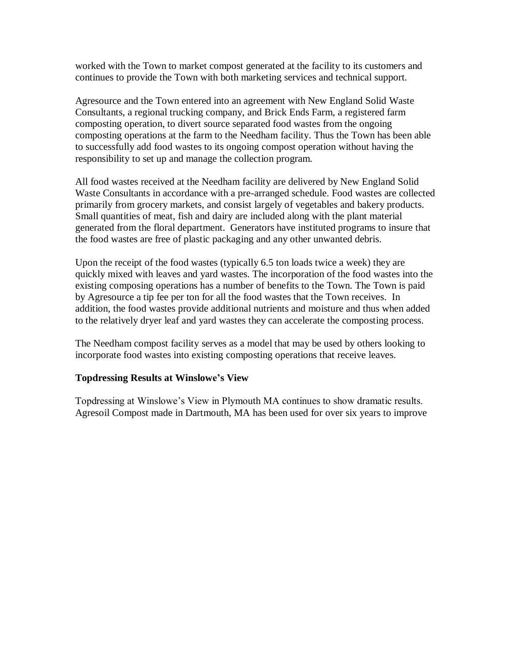worked with the Town to market compost generated at the facility to its customers and continues to provide the Town with both marketing services and technical support.

Agresource and the Town entered into an agreement with New England Solid Waste Consultants, a regional trucking company, and Brick Ends Farm, a registered farm composting operation, to divert source separated food wastes from the ongoing composting operations at the farm to the Needham facility. Thus the Town has been able to successfully add food wastes to its ongoing compost operation without having the responsibility to set up and manage the collection program.

All food wastes received at the Needham facility are delivered by New England Solid Waste Consultants in accordance with a pre-arranged schedule. Food wastes are collected primarily from grocery markets, and consist largely of vegetables and bakery products. Small quantities of meat, fish and dairy are included along with the plant material generated from the floral department. Generators have instituted programs to insure that the food wastes are free of plastic packaging and any other unwanted debris.

Upon the receipt of the food wastes (typically 6.5 ton loads twice a week) they are quickly mixed with leaves and yard wastes. The incorporation of the food wastes into the existing composing operations has a number of benefits to the Town. The Town is paid by Agresource a tip fee per ton for all the food wastes that the Town receives. In addition, the food wastes provide additional nutrients and moisture and thus when added to the relatively dryer leaf and yard wastes they can accelerate the composting process.

The Needham compost facility serves as a model that may be used by others looking to incorporate food wastes into existing composting operations that receive leaves.

## **Topdressing Results at Winslowe's View**

Topdressing at Winslowe's View in Plymouth MA continues to show dramatic results. Agresoil Compost made in Dartmouth, MA has been used for over six years to improve